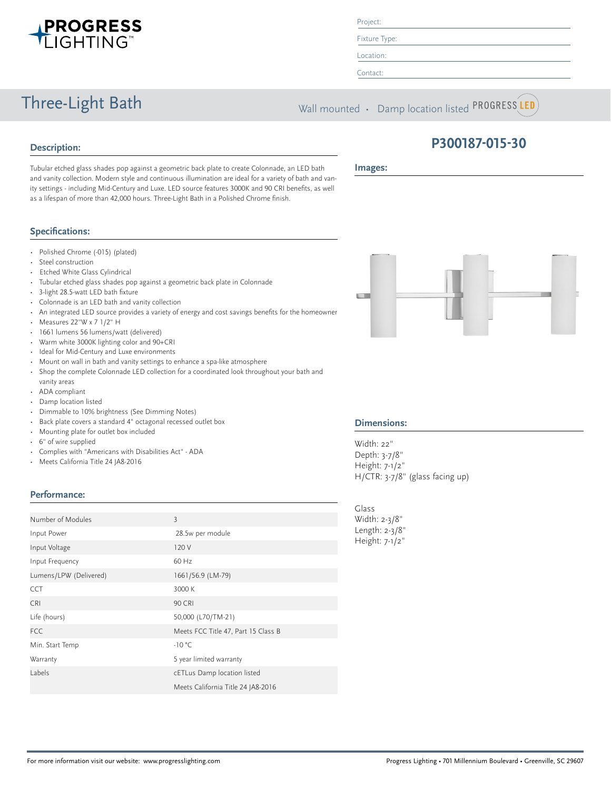

#### Project:

Fixture Type:

Location:

Contact:

Three-Light Bath Wall mounted • Damp location listed PROGRESS LED

## **Description:**

**Images:**

Tubular etched glass shades pop against a geometric back plate to create Colonnade, an LED bath and vanity collection. Modern style and continuous illumination are ideal for a variety of bath and vanity settings - including Mid-Century and Luxe. LED source features 3000K and 90 CRI benefits, as well as a lifespan of more than 42,000 hours. Three-Light Bath in a Polished Chrome finish.

### **Specifications:**

- Polished Chrome (-015) (plated)
- Steel construction
- Etched White Glass Cylindrical
- Tubular etched glass shades pop against a geometric back plate in Colonnade
- 3-light 28.5-watt LED bath fixture
- Colonnade is an LED bath and vanity collection
- An integrated LED source provides a variety of energy and cost savings benefits for the homeowner
- Measures 22"W x 7 1/2" H
- 1661 lumens 56 lumens/watt (delivered)
- Warm white 3000K lighting color and 90+CRI
- Ideal for Mid-Century and Luxe environments
- Mount on wall in bath and vanity settings to enhance a spa-like atmosphere
- Shop the complete Colonnade LED collection for a coordinated look throughout your bath and vanity areas
- ADA compliant
- Damp location listed
- Dimmable to 10% brightness (See Dimming Notes)
- Back plate covers a standard 4" octagonal recessed outlet box
- Mounting plate for outlet box included
- 6" of wire supplied
- Complies with "Americans with Disabilities Act" ADA
- Meets California Title 24 JA8-2016

#### **Performance:**

|                        |                                     | ،اب |
|------------------------|-------------------------------------|-----|
| Number of Modules      | $\overline{3}$                      | Wi  |
| Input Power            | 28.5w per module                    | Lei |
| Input Voltage          | 120 V                               | He  |
| Input Frequency        | 60 Hz                               |     |
| Lumens/LPW (Delivered) | 1661/56.9 (LM-79)                   |     |
| <b>CCT</b>             | 3000 K                              |     |
| <b>CRI</b>             | <b>90 CRI</b>                       |     |
| Life (hours)           | 50,000 (L70/TM-21)                  |     |
| <b>FCC</b>             | Meets FCC Title 47, Part 15 Class B |     |
| Min. Start Temp        | $-10 °C$                            |     |
| Warranty               | 5 year limited warranty             |     |
| Labels                 | cETLus Damp location listed         |     |
|                        | Meets California Title 24 JA8-2016  |     |



**P300187-015-30**

#### **Dimensions:**

Width: 22" Depth: 3-7/8" Height: 7-1/2" H/CTR: 3-7/8" (glass facing up)

Glass idth: 2-3/8" ngth: 2-3/8" eight: 7-1/2"